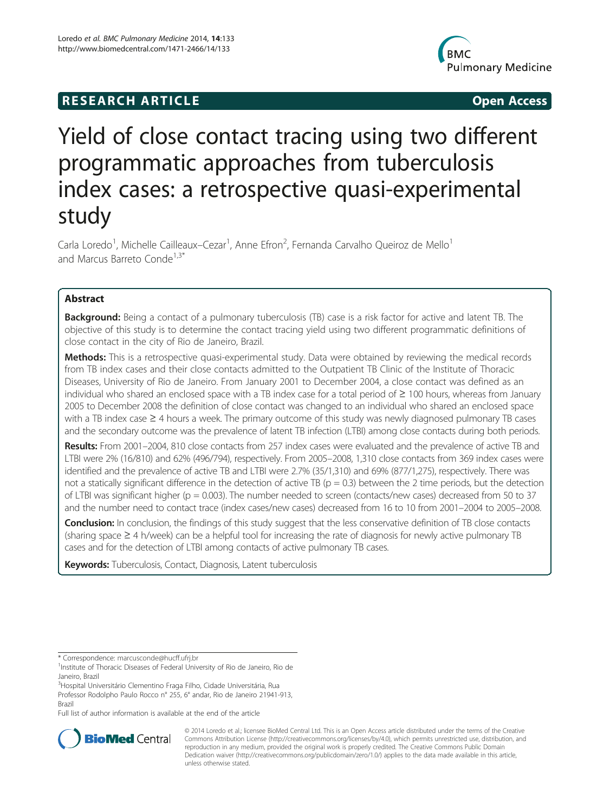# **RESEARCH ARTICLE Example 2014 CONSIDERING CONSIDERING CONSIDERING CONSIDERING CONSIDERING CONSIDERING CONSIDERING CONSIDERING CONSIDERING CONSIDERING CONSIDERING CONSIDERING CONSIDERING CONSIDERING CONSIDERING CONSIDE**



# Yield of close contact tracing using two different programmatic approaches from tuberculosis index cases: a retrospective quasi-experimental study

Carla Loredo<sup>1</sup>, Michelle Cailleaux–Cezar<sup>1</sup>, Anne Efron<sup>2</sup>, Fernanda Carvalho Queiroz de Mello<sup>1</sup> and Marcus Barreto Conde<sup>1,3\*</sup>

# Abstract

Background: Being a contact of a pulmonary tuberculosis (TB) case is a risk factor for active and latent TB. The objective of this study is to determine the contact tracing yield using two different programmatic definitions of close contact in the city of Rio de Janeiro, Brazil.

Methods: This is a retrospective quasi-experimental study. Data were obtained by reviewing the medical records from TB index cases and their close contacts admitted to the Outpatient TB Clinic of the Institute of Thoracic Diseases, University of Rio de Janeiro. From January 2001 to December 2004, a close contact was defined as an individual who shared an enclosed space with a TB index case for a total period of ≥ 100 hours, whereas from January 2005 to December 2008 the definition of close contact was changed to an individual who shared an enclosed space with a TB index case ≥ 4 hours a week. The primary outcome of this study was newly diagnosed pulmonary TB cases and the secondary outcome was the prevalence of latent TB infection (LTBI) among close contacts during both periods.

Results: From 2001–2004, 810 close contacts from 257 index cases were evaluated and the prevalence of active TB and LTBI were 2% (16/810) and 62% (496/794), respectively. From 2005–2008, 1,310 close contacts from 369 index cases were identified and the prevalence of active TB and LTBI were 2.7% (35/1,310) and 69% (877/1,275), respectively. There was not a statically significant difference in the detection of active TB ( $p = 0.3$ ) between the 2 time periods, but the detection of LTBI was significant higher (p = 0.003). The number needed to screen (contacts/new cases) decreased from 50 to 37 and the number need to contact trace (index cases/new cases) decreased from 16 to 10 from 2001–2004 to 2005–2008.

Conclusion: In conclusion, the findings of this study suggest that the less conservative definition of TB close contacts (sharing space ≥ 4 h/week) can be a helpful tool for increasing the rate of diagnosis for newly active pulmonary TB cases and for the detection of LTBI among contacts of active pulmonary TB cases.

Keywords: Tuberculosis, Contact, Diagnosis, Latent tuberculosis

\* Correspondence: [marcusconde@hucff.ufrj.br](mailto:marcusconde@hucff.ufrj.br) <sup>1</sup>

<sup>3</sup>Hospital Universitário Clementino Fraga Filho, Cidade Universitária, Rua

Professor Rodolpho Paulo Rocco n° 255, 6° andar, Rio de Janeiro 21941-913, Brazil

Full list of author information is available at the end of the article



© 2014 Loredo et al.; licensee BioMed Central Ltd. This is an Open Access article distributed under the terms of the Creative Commons Attribution License [\(http://creativecommons.org/licenses/by/4.0\)](http://creativecommons.org/licenses/by/4.0), which permits unrestricted use, distribution, and reproduction in any medium, provided the original work is properly credited. The Creative Commons Public Domain Dedication waiver [\(http://creativecommons.org/publicdomain/zero/1.0/](http://creativecommons.org/publicdomain/zero/1.0/)) applies to the data made available in this article, unless otherwise stated.

<sup>&</sup>lt;sup>1</sup> Institute of Thoracic Diseases of Federal University of Rio de Janeiro, Rio de Janeiro, Brazil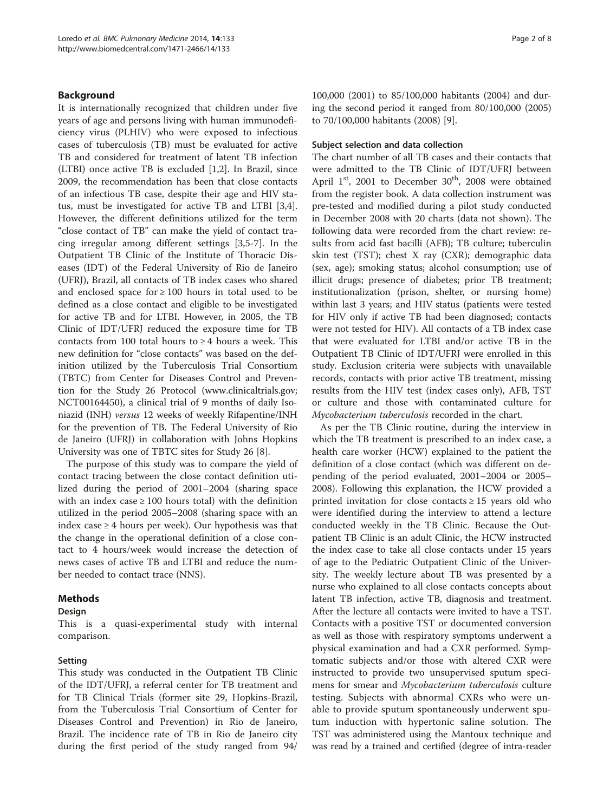# Background

It is internationally recognized that children under five years of age and persons living with human immunodeficiency virus (PLHIV) who were exposed to infectious cases of tuberculosis (TB) must be evaluated for active TB and considered for treatment of latent TB infection (LTBI) once active TB is excluded [[1,2\]](#page-7-0). In Brazil, since 2009, the recommendation has been that close contacts of an infectious TB case, despite their age and HIV status, must be investigated for active TB and LTBI [\[3,4](#page-7-0)]. However, the different definitions utilized for the term "close contact of TB" can make the yield of contact tracing irregular among different settings [\[3,5](#page-7-0)-[7\]](#page-7-0). In the Outpatient TB Clinic of the Institute of Thoracic Diseases (IDT) of the Federal University of Rio de Janeiro (UFRJ), Brazil, all contacts of TB index cases who shared and enclosed space for  $\geq 100$  hours in total used to be defined as a close contact and eligible to be investigated for active TB and for LTBI. However, in 2005, the TB Clinic of IDT/UFRJ reduced the exposure time for TB contacts from 100 total hours to  $\geq$  4 hours a week. This new definition for "close contacts" was based on the definition utilized by the Tuberculosis Trial Consortium (TBTC) from Center for Diseases Control and Prevention for the Study 26 Protocol [\(www.clinicaltrials.gov](http://www.clinicaltrials.gov); NCT00164450), a clinical trial of 9 months of daily Isoniazid (INH) versus 12 weeks of weekly Rifapentine/INH for the prevention of TB. The Federal University of Rio de Janeiro (UFRJ) in collaboration with Johns Hopkins University was one of TBTC sites for Study 26 [[8\]](#page-7-0).

The purpose of this study was to compare the yield of contact tracing between the close contact definition utilized during the period of 2001–2004 (sharing space with an index case  $\geq 100$  hours total) with the definition utilized in the period 2005–2008 (sharing space with an index case  $\geq$  4 hours per week). Our hypothesis was that the change in the operational definition of a close contact to 4 hours/week would increase the detection of news cases of active TB and LTBI and reduce the number needed to contact trace (NNS).

# Methods

#### Design

This is a quasi-experimental study with internal comparison.

#### Setting

This study was conducted in the Outpatient TB Clinic of the IDT/UFRJ, a referral center for TB treatment and for TB Clinical Trials (former site 29, Hopkins-Brazil, from the Tuberculosis Trial Consortium of Center for Diseases Control and Prevention) in Rio de Janeiro, Brazil. The incidence rate of TB in Rio de Janeiro city during the first period of the study ranged from 94/

100,000 (2001) to 85/100,000 habitants (2004) and during the second period it ranged from 80/100,000 (2005) to 70/100,000 habitants (2008) [\[9](#page-7-0)].

#### Subject selection and data collection

The chart number of all TB cases and their contacts that were admitted to the TB Clinic of IDT/UFRJ between April  $1<sup>st</sup>$ , 2001 to December  $30<sup>th</sup>$ , 2008 were obtained from the register book. A data collection instrument was pre-tested and modified during a pilot study conducted in December 2008 with 20 charts (data not shown). The following data were recorded from the chart review: results from acid fast bacilli (AFB); TB culture; tuberculin skin test (TST); chest X ray (CXR); demographic data (sex, age); smoking status; alcohol consumption; use of illicit drugs; presence of diabetes; prior TB treatment; institutionalization (prison, shelter, or nursing home) within last 3 years; and HIV status (patients were tested for HIV only if active TB had been diagnosed; contacts were not tested for HIV). All contacts of a TB index case that were evaluated for LTBI and/or active TB in the Outpatient TB Clinic of IDT/UFRJ were enrolled in this study. Exclusion criteria were subjects with unavailable records, contacts with prior active TB treatment, missing results from the HIV test (index cases only), AFB, TST or culture and those with contaminated culture for Mycobacterium tuberculosis recorded in the chart.

As per the TB Clinic routine, during the interview in which the TB treatment is prescribed to an index case, a health care worker (HCW) explained to the patient the definition of a close contact (which was different on depending of the period evaluated, 2001–2004 or 2005– 2008). Following this explanation, the HCW provided a printed invitation for close contacts  $\geq 15$  years old who were identified during the interview to attend a lecture conducted weekly in the TB Clinic. Because the Outpatient TB Clinic is an adult Clinic, the HCW instructed the index case to take all close contacts under 15 years of age to the Pediatric Outpatient Clinic of the University. The weekly lecture about TB was presented by a nurse who explained to all close contacts concepts about latent TB infection, active TB, diagnosis and treatment. After the lecture all contacts were invited to have a TST. Contacts with a positive TST or documented conversion as well as those with respiratory symptoms underwent a physical examination and had a CXR performed. Symptomatic subjects and/or those with altered CXR were instructed to provide two unsupervised sputum specimens for smear and Mycobacterium tuberculosis culture testing. Subjects with abnormal CXRs who were unable to provide sputum spontaneously underwent sputum induction with hypertonic saline solution. The TST was administered using the Mantoux technique and was read by a trained and certified (degree of intra-reader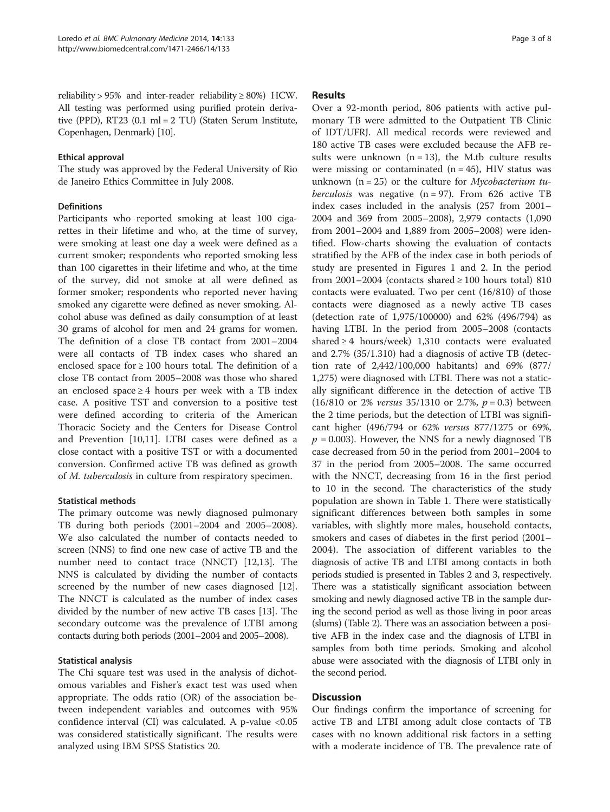reliability >  $95\%$  and inter-reader reliability  $\geq 80\%$ ) HCW. All testing was performed using purified protein derivative (PPD), RT23 (0.1 ml = 2 TU) (Staten Serum Institute, Copenhagen, Denmark) [[10](#page-7-0)].

### Ethical approval

The study was approved by the Federal University of Rio de Janeiro Ethics Committee in July 2008.

# Definitions

Participants who reported smoking at least 100 cigarettes in their lifetime and who, at the time of survey, were smoking at least one day a week were defined as a current smoker; respondents who reported smoking less than 100 cigarettes in their lifetime and who, at the time of the survey, did not smoke at all were defined as former smoker; respondents who reported never having smoked any cigarette were defined as never smoking. Alcohol abuse was defined as daily consumption of at least 30 grams of alcohol for men and 24 grams for women. The definition of a close TB contact from 2001–2004 were all contacts of TB index cases who shared an enclosed space for  $\geq 100$  hours total. The definition of a close TB contact from 2005–2008 was those who shared an enclosed space ≥ 4 hours per week with a TB index case. A positive TST and conversion to a positive test were defined according to criteria of the American Thoracic Society and the Centers for Disease Control and Prevention [\[10,11](#page-7-0)]. LTBI cases were defined as a close contact with a positive TST or with a documented conversion. Confirmed active TB was defined as growth of M. tuberculosis in culture from respiratory specimen.

# Statistical methods

The primary outcome was newly diagnosed pulmonary TB during both periods (2001–2004 and 2005–2008). We also calculated the number of contacts needed to screen (NNS) to find one new case of active TB and the number need to contact trace (NNCT) [\[12,13\]](#page-7-0). The NNS is calculated by dividing the number of contacts screened by the number of new cases diagnosed [\[12](#page-7-0)]. The NNCT is calculated as the number of index cases divided by the number of new active TB cases [[13\]](#page-7-0). The secondary outcome was the prevalence of LTBI among contacts during both periods (2001–2004 and 2005–2008).

# Statistical analysis

The Chi square test was used in the analysis of dichotomous variables and Fisher's exact test was used when appropriate. The odds ratio (OR) of the association between independent variables and outcomes with 95% confidence interval (CI) was calculated. A p-value  $< 0.05$ was considered statistically significant. The results were analyzed using IBM SPSS Statistics 20.

# Results

Over a 92-month period, 806 patients with active pulmonary TB were admitted to the Outpatient TB Clinic of IDT/UFRJ. All medical records were reviewed and 180 active TB cases were excluded because the AFB results were unknown  $(n = 13)$ , the M.tb culture results were missing or contaminated  $(n = 45)$ , HIV status was unknown ( $n = 25$ ) or the culture for *Mycobacterium tu*berculosis was negative  $(n = 97)$ . From 626 active TB index cases included in the analysis (257 from 2001– 2004 and 369 from 2005–2008), 2,979 contacts (1,090 from 2001–2004 and 1,889 from 2005–2008) were identified. Flow-charts showing the evaluation of contacts stratified by the AFB of the index case in both periods of study are presented in Figures [1](#page-3-0) and [2](#page-4-0). In the period from 2001–2004 (contacts shared  $\geq 100$  hours total) 810 contacts were evaluated. Two per cent (16/810) of those contacts were diagnosed as a newly active TB cases (detection rate of 1,975/100000) and 62% (496/794) as having LTBI. In the period from 2005–2008 (contacts shared  $\geq 4$  hours/week) 1,310 contacts were evaluated and 2.7% (35/1.310) had a diagnosis of active TB (detection rate of 2,442/100,000 habitants) and 69% (877/ 1,275) were diagnosed with LTBI. There was not a statically significant difference in the detection of active TB (16/810 or 2% *versus* 35/1310 or 2.7%,  $p = 0.3$ ) between the 2 time periods, but the detection of LTBI was significant higher (496/794 or 62% versus 877/1275 or 69%,  $p = 0.003$ ). However, the NNS for a newly diagnosed TB case decreased from 50 in the period from 2001–2004 to 37 in the period from 2005–2008. The same occurred with the NNCT, decreasing from 16 in the first period to 10 in the second. The characteristics of the study population are shown in Table [1.](#page-5-0) There were statistically significant differences between both samples in some variables, with slightly more males, household contacts, smokers and cases of diabetes in the first period (2001– 2004). The association of different variables to the diagnosis of active TB and LTBI among contacts in both periods studied is presented in Tables [2](#page-6-0) and [3,](#page-6-0) respectively. There was a statistically significant association between smoking and newly diagnosed active TB in the sample during the second period as well as those living in poor areas (slums) (Table [2](#page-6-0)). There was an association between a positive AFB in the index case and the diagnosis of LTBI in samples from both time periods. Smoking and alcohol abuse were associated with the diagnosis of LTBI only in the second period.

# **Discussion**

Our findings confirm the importance of screening for active TB and LTBI among adult close contacts of TB cases with no known additional risk factors in a setting with a moderate incidence of TB. The prevalence rate of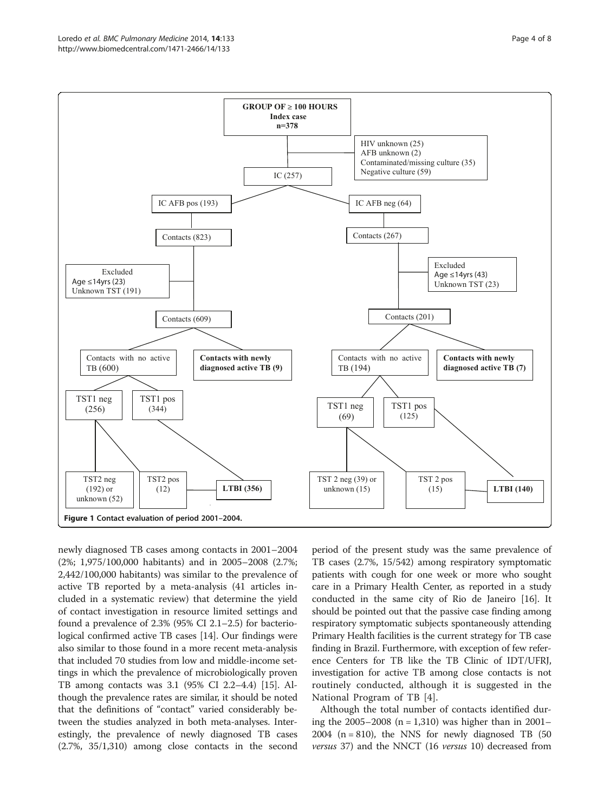<span id="page-3-0"></span>

newly diagnosed TB cases among contacts in 2001–2004 (2%; 1,975/100,000 habitants) and in 2005–2008 (2.7%; 2,442/100,000 habitants) was similar to the prevalence of active TB reported by a meta-analysis (41 articles included in a systematic review) that determine the yield of contact investigation in resource limited settings and found a prevalence of 2.3% (95% CI 2.1–2.5) for bacteriological confirmed active TB cases [\[14](#page-7-0)]. Our findings were also similar to those found in a more recent meta-analysis that included 70 studies from low and middle-income settings in which the prevalence of microbiologically proven TB among contacts was 3.1 (95% CI 2.2–4.4) [\[15\]](#page-7-0). Although the prevalence rates are similar, it should be noted that the definitions of "contact" varied considerably between the studies analyzed in both meta-analyses. Interestingly, the prevalence of newly diagnosed TB cases (2.7%, 35/1,310) among close contacts in the second

period of the present study was the same prevalence of TB cases (2.7%, 15/542) among respiratory symptomatic patients with cough for one week or more who sought care in a Primary Health Center, as reported in a study conducted in the same city of Rio de Janeiro [\[16\]](#page-7-0). It should be pointed out that the passive case finding among respiratory symptomatic subjects spontaneously attending Primary Health facilities is the current strategy for TB case finding in Brazil. Furthermore, with exception of few reference Centers for TB like the TB Clinic of IDT/UFRJ, investigation for active TB among close contacts is not routinely conducted, although it is suggested in the National Program of TB [\[4](#page-7-0)].

Although the total number of contacts identified during the 2005–2008 (n = 1,310) was higher than in 2001– 2004 ( $n = 810$ ), the NNS for newly diagnosed TB (50 versus 37) and the NNCT (16 versus 10) decreased from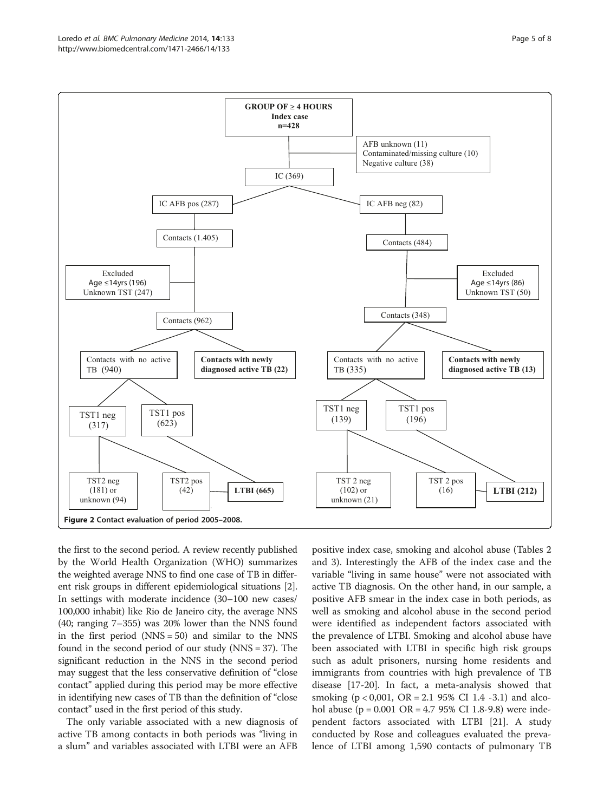<span id="page-4-0"></span>

the first to the second period. A review recently published by the World Health Organization (WHO) summarizes the weighted average NNS to find one case of TB in different risk groups in different epidemiological situations [[2](#page-7-0)]. In settings with moderate incidence (30–100 new cases/ 100,000 inhabit) like Rio de Janeiro city, the average NNS (40; ranging 7–355) was 20% lower than the NNS found in the first period  $(NNS = 50)$  and similar to the NNS found in the second period of our study (NNS = 37). The significant reduction in the NNS in the second period may suggest that the less conservative definition of "close contact" applied during this period may be more effective in identifying new cases of TB than the definition of "close contact" used in the first period of this study.

The only variable associated with a new diagnosis of active TB among contacts in both periods was "living in a slum" and variables associated with LTBI were an AFB positive index case, smoking and alcohol abuse (Tables [2](#page-6-0) and [3\)](#page-6-0). Interestingly the AFB of the index case and the variable "living in same house" were not associated with active TB diagnosis. On the other hand, in our sample, a positive AFB smear in the index case in both periods, as well as smoking and alcohol abuse in the second period were identified as independent factors associated with the prevalence of LTBI. Smoking and alcohol abuse have been associated with LTBI in specific high risk groups such as adult prisoners, nursing home residents and immigrants from countries with high prevalence of TB disease [\[17](#page-7-0)-[20\]](#page-7-0). In fact, a meta-analysis showed that smoking  $(p < 0.001, \text{ OR } = 2.1, 95\% \text{ CI } 1.4, -3.1)$  and alcohol abuse ( $p = 0.001 \text{ OR} = 4.795\% \text{ CI}$  1.8-9.8) were independent factors associated with LTBI [\[21](#page-7-0)]. A study conducted by Rose and colleagues evaluated the prevalence of LTBI among 1,590 contacts of pulmonary TB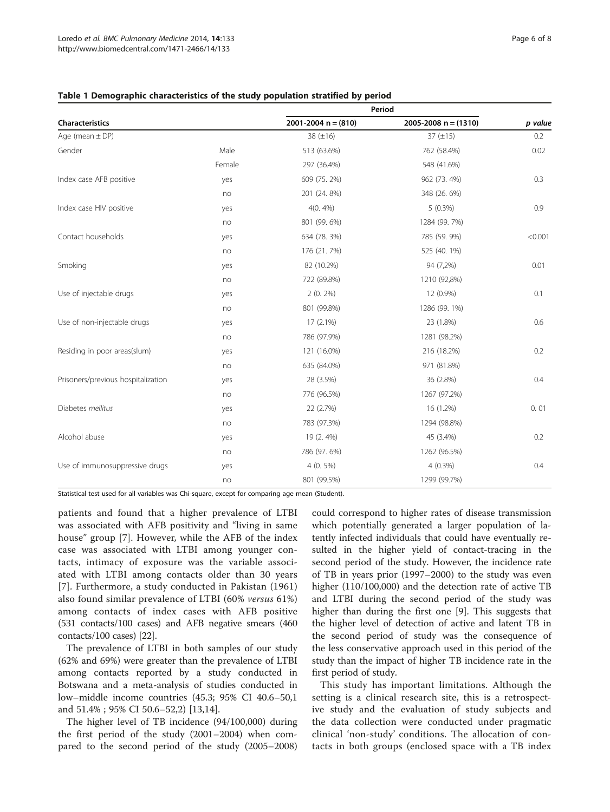|                                    |        | Period                |                        |         |
|------------------------------------|--------|-----------------------|------------------------|---------|
| Characteristics                    |        | 2001-2004 $n = (810)$ | 2005-2008 $n = (1310)$ | p value |
| Age (mean $\pm$ DP)                |        | 38 $(\pm 16)$         | 37 $(\pm 15)$          | 0.2     |
| Gender                             | Male   | 513 (63.6%)           | 762 (58.4%)            | 0.02    |
|                                    | Female | 297 (36.4%)           | 548 (41.6%)            |         |
| Index case AFB positive            | yes    | 609 (75.2%)           | 962 (73.4%)            | 0.3     |
|                                    | no     | 201 (24.8%)           | 348 (26. 6%)           |         |
| Index case HIV positive            | yes    | $4(0.4\%)$            | $5(0.3\%)$             | 0.9     |
|                                    | no     | 801 (99. 6%)          | 1284 (99. 7%)          |         |
| Contact households                 | yes    | 634 (78. 3%)          | 785 (59.9%)            | < 0.001 |
|                                    | no     | 176 (21.7%)           | 525 (40. 1%)           |         |
| Smoking                            | yes    | 82 (10.2%)            | 94 (7,2%)              | 0.01    |
|                                    | no     | 722 (89.8%)           | 1210 (92,8%)           |         |
| Use of injectable drugs            | yes    | $2(0.2\%)$            | 12 (0.9%)              | 0.1     |
|                                    | no     | 801 (99.8%)           | 1286 (99. 1%)          |         |
| Use of non-injectable drugs        | yes    | 17 (2.1%)             | 23 (1.8%)              | 0.6     |
|                                    | no     | 786 (97.9%)           | 1281 (98.2%)           |         |
| Residing in poor areas(slum)       | yes    | 121 (16.0%)           | 216 (18.2%)            | 0.2     |
|                                    | no     | 635 (84.0%)           | 971 (81.8%)            |         |
| Prisoners/previous hospitalization | yes    | 28 (3.5%)             | 36 (2.8%)              | 0.4     |
|                                    | no     | 776 (96.5%)           | 1267 (97.2%)           |         |
| Diabetes mellitus                  | yes    | 22 (2.7%)             | 16 (1.2%)              | 0.01    |
|                                    | no     | 783 (97.3%)           | 1294 (98.8%)           |         |
| Alcohol abuse                      | yes    | 19 (2.4%)             | 45 (3.4%)              | 0.2     |
|                                    | no     | 786 (97.6%)           | 1262 (96.5%)           |         |
| Use of immunosuppressive drugs     | yes    | 4 (0. 5%)             | $4(0.3\%)$             | 0.4     |
|                                    | no     | 801 (99.5%)           | 1299 (99.7%)           |         |

### <span id="page-5-0"></span>Table 1 Demographic characteristics of the study population stratified by period

Statistical test used for all variables was Chi-square, except for comparing age mean (Student).

patients and found that a higher prevalence of LTBI was associated with AFB positivity and "living in same house" group [\[7](#page-7-0)]. However, while the AFB of the index case was associated with LTBI among younger contacts, intimacy of exposure was the variable associated with LTBI among contacts older than 30 years [[7](#page-7-0)]. Furthermore, a study conducted in Pakistan (1961) also found similar prevalence of LTBI (60% versus 61%) among contacts of index cases with AFB positive (531 contacts/100 cases) and AFB negative smears (460 contacts/100 cases) [[22](#page-7-0)].

The prevalence of LTBI in both samples of our study (62% and 69%) were greater than the prevalence of LTBI among contacts reported by a study conducted in Botswana and a meta-analysis of studies conducted in low–middle income countries (45.3; 95% CI 40.6–50,1 and 51.4% ; 95% CI 50.6–52,2) [[13,14\]](#page-7-0).

The higher level of TB incidence (94/100,000) during the first period of the study (2001–2004) when compared to the second period of the study (2005–2008)

could correspond to higher rates of disease transmission which potentially generated a larger population of latently infected individuals that could have eventually resulted in the higher yield of contact-tracing in the second period of the study. However, the incidence rate of TB in years prior (1997–2000) to the study was even higher (110/100,000) and the detection rate of active TB and LTBI during the second period of the study was higher than during the first one [[9\]](#page-7-0). This suggests that the higher level of detection of active and latent TB in the second period of study was the consequence of the less conservative approach used in this period of the study than the impact of higher TB incidence rate in the first period of study.

This study has important limitations. Although the setting is a clinical research site, this is a retrospective study and the evaluation of study subjects and the data collection were conducted under pragmatic clinical 'non-study' conditions. The allocation of contacts in both groups (enclosed space with a TB index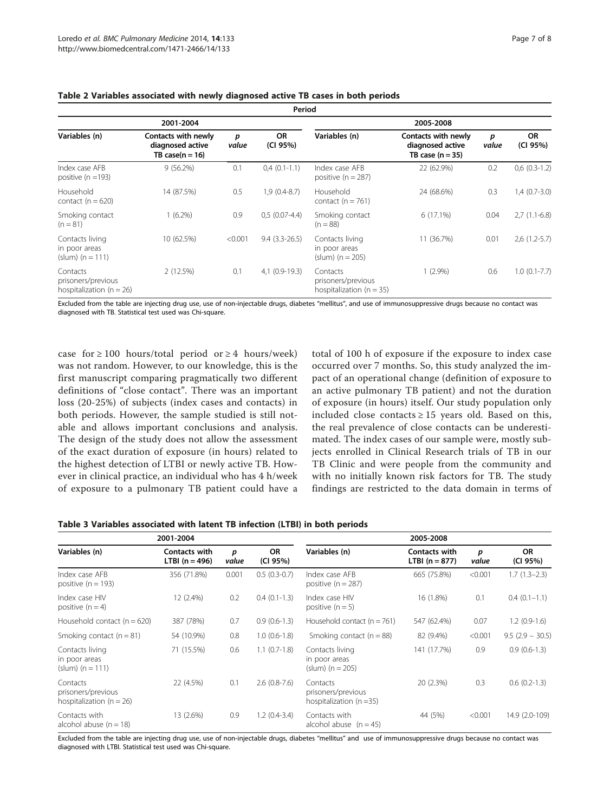**Contacts** prisoners/previous hospitalization ( $n = 26$ )

| Period                                                 |                                                                |            |                       |                                                          |                                                               |            |                       |  |
|--------------------------------------------------------|----------------------------------------------------------------|------------|-----------------------|----------------------------------------------------------|---------------------------------------------------------------|------------|-----------------------|--|
|                                                        | 2001-2004                                                      |            |                       |                                                          | 2005-2008                                                     |            |                       |  |
| Variables (n)                                          | Contacts with newly<br>diagnosed active<br>TB case( $n = 16$ ) | p<br>value | <b>OR</b><br>(CI 95%) | Variables (n)                                            | Contacts with newly<br>diagnosed active<br>TB case $(n = 35)$ | р<br>value | <b>OR</b><br>(CI 95%) |  |
| Index case AFB<br>positive ( $n = 193$ )               | $9(56.2\%)$                                                    | 0.1        | $0,4(0.1-1.1)$        | Index case AFB<br>positive $(n = 287)$                   | 22 (62.9%)                                                    | 0.2        | $0.6(0.3-1.2)$        |  |
| Household<br>contact $(n = 620)$                       | 14 (87.5%)                                                     | 0.5        | $1.9(0.4-8.7)$        | Household<br>contact $(n = 761)$                         | 24 (68.6%)                                                    | 0.3        | $1,4(0.7-3.0)$        |  |
| Smoking contact<br>$(n = 81)$                          | $(6.2\%)$                                                      | 0.9        | $0.5(0.07-4.4)$       | Smoking contact<br>$(n = 88)$                            | 6(17.1%)                                                      | 0.04       | $2,7(1.1-6.8)$        |  |
| Contacts living<br>in poor areas<br>$(slum)$ (n = 111) | 10 (62.5%)                                                     | < 0.001    | $9.4(3.3-26.5)$       | Contacts living<br>in poor areas<br>(slum) ( $n = 205$ ) | 11 (36.7%)                                                    | 0.01       | $2,6(1.2-5.7)$        |  |

prisoners/previous hospitalization ( $n = 35$ )

<span id="page-6-0"></span>Table 2 Variables associated with newly diagnosed active TB cases in both periods

Excluded from the table are injecting drug use, use of non-injectable drugs, diabetes "mellitus", and use of immunosuppressive drugs because no contact was diagnosed with TB. Statistical test used was Chi-square.

2 (12.5%) 0.1 4,1 (0.9-19.3) Contacts

case for  $\geq$  100 hours/total period or  $\geq$  4 hours/week) was not random. However, to our knowledge, this is the first manuscript comparing pragmatically two different definitions of "close contact". There was an important loss (20-25%) of subjects (index cases and contacts) in both periods. However, the sample studied is still notable and allows important conclusions and analysis. The design of the study does not allow the assessment of the exact duration of exposure (in hours) related to the highest detection of LTBI or newly active TB. However in clinical practice, an individual who has 4 h/week of exposure to a pulmonary TB patient could have a total of 100 h of exposure if the exposure to index case occurred over 7 months. So, this study analyzed the impact of an operational change (definition of exposure to an active pulmonary TB patient) and not the duration of exposure (in hours) itself. Our study population only included close contacts  $\geq 15$  years old. Based on this, the real prevalence of close contacts can be underestimated. The index cases of our sample were, mostly subjects enrolled in Clinical Research trials of TB in our TB Clinic and were people from the community and with no initially known risk factors for TB. The study findings are restricted to the data domain in terms of

1 (2.9%) 0.6 1.0 (0.1-7.7)

Table 3 Variables associated with latent TB infection (LTBI) in both periods

|                                                                | 2001-2004                         |            |                       |                                                                | 2005-2008                         |            |                       |
|----------------------------------------------------------------|-----------------------------------|------------|-----------------------|----------------------------------------------------------------|-----------------------------------|------------|-----------------------|
| Variables (n)                                                  | Contacts with<br>$LTBI (n = 496)$ | p<br>value | <b>OR</b><br>(CI 95%) | Variables (n)                                                  | Contacts with<br>$LTBI (n = 877)$ | p<br>value | <b>OR</b><br>(CI 95%) |
| Index case AFB<br>positive $(n = 193)$                         | 356 (71.8%)                       | 0.001      | $0.5(0.3-0.7)$        | Index case AFB<br>positive $(n = 287)$                         | 665 (75.8%)                       | < 0.001    | $1.7(1.3-2.3)$        |
| Index case HIV<br>positive $(n = 4)$                           | 12 (2.4%)                         | 0.2        | $0.4(0.1-1.3)$        | Index case HIV<br>positive $(n = 5)$                           | 16 (1.8%)                         | 0.1        | $0.4(0.1-1.1)$        |
| Household contact $(n = 620)$                                  | 387 (78%)                         | 0.7        | $0.9(0.6-1.3)$        | Household contact ( $n = 761$ )                                | 547 (62.4%)                       | 0.07       | $1.2(0.9-1.6)$        |
| Smoking contact $(n = 81)$                                     | 54 (10.9%)                        | 0.8        | $1.0(0.6-1.8)$        | Smoking contact $(n = 88)$                                     | 82 (9.4%)                         | < 0.001    | $9.5(2.9 - 30.5)$     |
| Contacts living<br>in poor areas<br>(slum) $(n = 111)$         | 71 (15.5%)                        | 0.6        | $1.1(0.7-1.8)$        | Contacts living<br>in poor areas<br>(slum) $(n = 205)$         | 141 (17.7%)                       | 0.9        | $0.9(0.6-1.3)$        |
| Contacts<br>prisoners/previous<br>hospitalization ( $n = 26$ ) | 22 (4.5%)                         | 0.1        | $2.6$ (0.8-7.6)       | Contacts<br>prisoners/previous<br>hospitalization ( $n = 35$ ) | 20 (2.3%)                         | 0.3        | $0.6(0.2-1.3)$        |
| Contacts with<br>alcohol abuse $(n = 18)$                      | 13 (2.6%)                         | 0.9        | $1.2(0.4-3.4)$        | Contacts with<br>alcohol abuse $(n = 45)$                      | 44 (5%)                           | < 0.001    | 14.9 (2.0-109)        |

Excluded from the table are injecting drug use, use of non-injectable drugs, diabetes "mellitus" and use of immunosuppressive drugs because no contact was diagnosed with LTBI. Statistical test used was Chi-square.